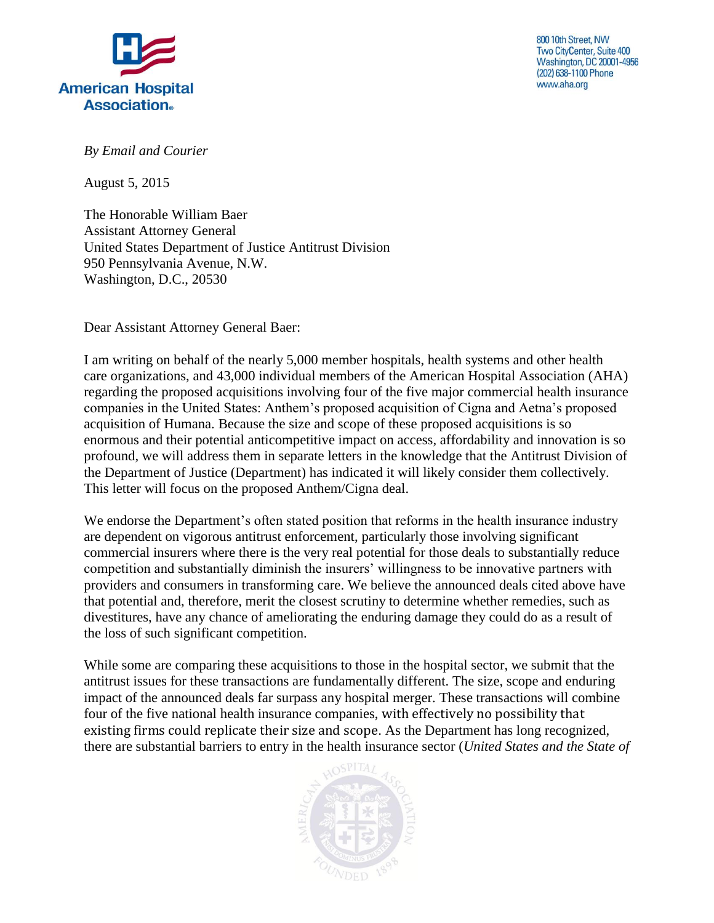

800 10th Street, NW Two CityCenter, Suite 400 **Washington, DC 20001-4956** (202) 638-1100 Phone www.aha.org

*By Email and Courier*

August 5, 2015

The Honorable William Baer Assistant Attorney General United States Department of Justice Antitrust Division 950 Pennsylvania Avenue, N.W. Washington, D.C., 20530

Dear Assistant Attorney General Baer:

I am writing on behalf of the nearly 5,000 member hospitals, health systems and other health care organizations, and 43,000 individual members of the American Hospital Association (AHA) regarding the proposed acquisitions involving four of the five major commercial health insurance companies in the United States: Anthem's proposed acquisition of Cigna and Aetna's proposed acquisition of Humana. Because the size and scope of these proposed acquisitions is so enormous and their potential anticompetitive impact on access, affordability and innovation is so profound, we will address them in separate letters in the knowledge that the Antitrust Division of the Department of Justice (Department) has indicated it will likely consider them collectively. This letter will focus on the proposed Anthem/Cigna deal.

We endorse the Department's often stated position that reforms in the health insurance industry are dependent on vigorous antitrust enforcement, particularly those involving significant commercial insurers where there is the very real potential for those deals to substantially reduce competition and substantially diminish the insurers' willingness to be innovative partners with providers and consumers in transforming care. We believe the announced deals cited above have that potential and, therefore, merit the closest scrutiny to determine whether remedies, such as divestitures, have any chance of ameliorating the enduring damage they could do as a result of the loss of such significant competition.

While some are comparing these acquisitions to those in the hospital sector, we submit that the antitrust issues for these transactions are fundamentally different. The size, scope and enduring impact of the announced deals far surpass any hospital merger. These transactions will combine four of the five national health insurance companies, with effectively no possibility that existing firms could replicate their size and scope. As the Department has long recognized, there are substantial barriers to entry in the health insurance sector (*United States and the State of* 

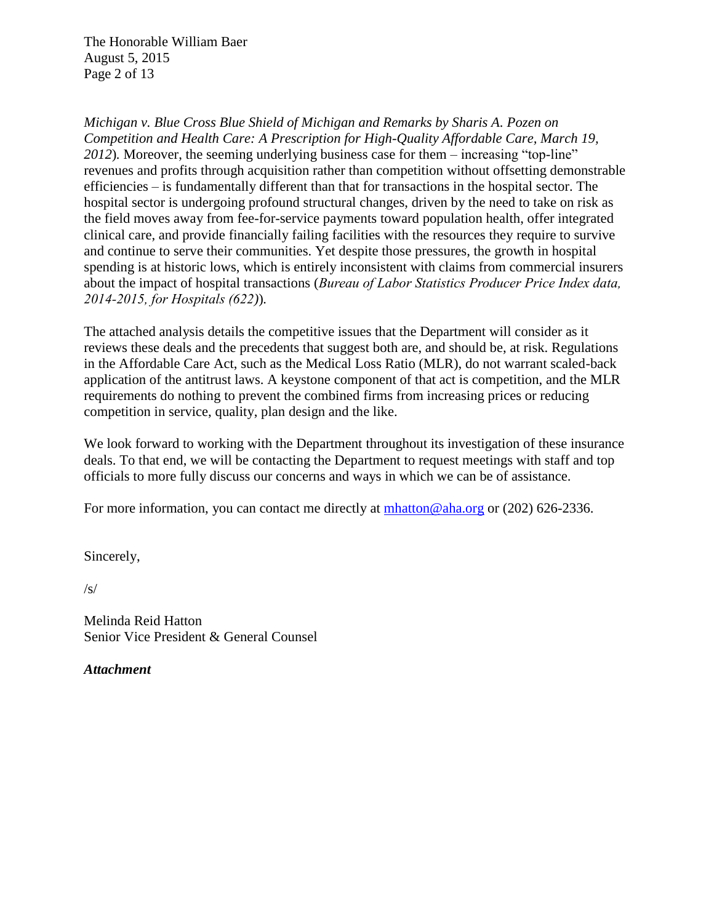The Honorable William Baer August 5, 2015 Page 2 of 13

*Michigan v. Blue Cross Blue Shield of Michigan and Remarks by Sharis A. Pozen on Competition and Health Care: A Prescription for High-Quality Affordable Care, March 19, 2012*)*.* Moreover, the seeming underlying business case for them – increasing "top-line" revenues and profits through acquisition rather than competition without offsetting demonstrable efficiencies – is fundamentally different than that for transactions in the hospital sector. The hospital sector is undergoing profound structural changes, driven by the need to take on risk as the field moves away from fee-for-service payments toward population health, offer integrated clinical care, and provide financially failing facilities with the resources they require to survive and continue to serve their communities. Yet despite those pressures, the growth in hospital spending is at historic lows, which is entirely inconsistent with claims from commercial insurers about the impact of hospital transactions (*Bureau of Labor Statistics Producer Price Index data, 2014-2015, for Hospitals (622)*)*.*

The attached analysis details the competitive issues that the Department will consider as it reviews these deals and the precedents that suggest both are, and should be, at risk. Regulations in the Affordable Care Act, such as the Medical Loss Ratio (MLR), do not warrant scaled-back application of the antitrust laws. A keystone component of that act is competition, and the MLR requirements do nothing to prevent the combined firms from increasing prices or reducing competition in service, quality, plan design and the like.

We look forward to working with the Department throughout its investigation of these insurance deals. To that end, we will be contacting the Department to request meetings with staff and top officials to more fully discuss our concerns and ways in which we can be of assistance.

For more information, you can contact me directly at  $\frac{\text{mhatton}\omega_{\text{a}}}{\text{mhatton}\omega_{\text{a}}}\$  or (202) 626-2336.

Sincerely,

/s/

Melinda Reid Hatton Senior Vice President & General Counsel

*Attachment*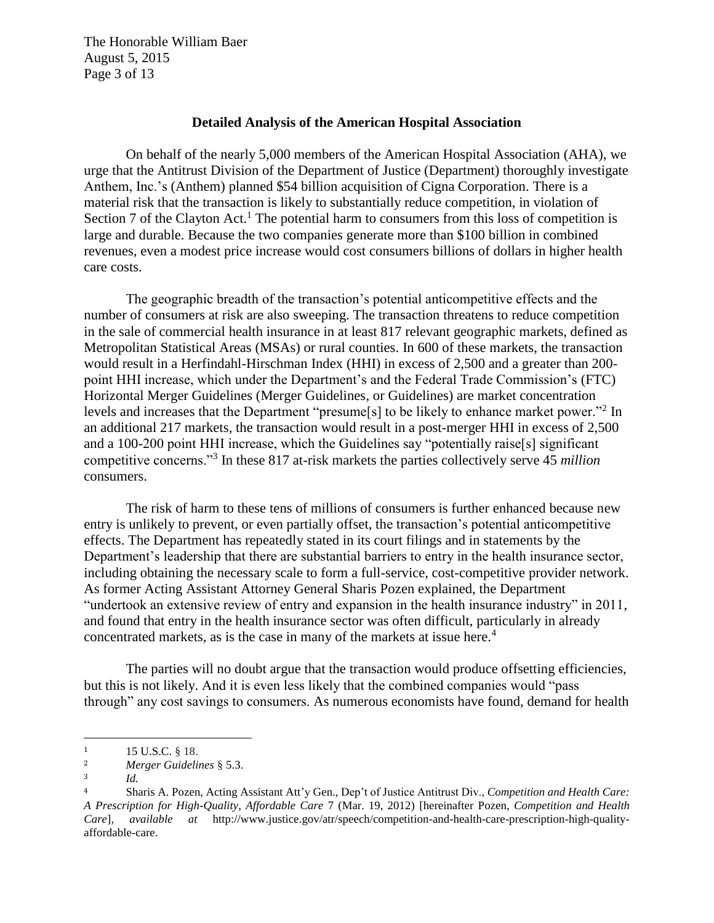The Honorable William Baer August 5, 2015 Page 3 of 13

#### **Detailed Analysis of the American Hospital Association**

On behalf of the nearly 5,000 members of the American Hospital Association (AHA), we urge that the Antitrust Division of the Department of Justice (Department) thoroughly investigate Anthem, Inc.'s (Anthem) planned \$54 billion acquisition of Cigna Corporation. There is a material risk that the transaction is likely to substantially reduce competition, in violation of Section 7 of the Clayton Act.<sup>1</sup> The potential harm to consumers from this loss of competition is large and durable. Because the two companies generate more than \$100 billion in combined revenues, even a modest price increase would cost consumers billions of dollars in higher health care costs.

The geographic breadth of the transaction's potential anticompetitive effects and the number of consumers at risk are also sweeping. The transaction threatens to reduce competition in the sale of commercial health insurance in at least 817 relevant geographic markets, defined as Metropolitan Statistical Areas (MSAs) or rural counties. In 600 of these markets, the transaction would result in a Herfindahl-Hirschman Index (HHI) in excess of 2,500 and a greater than 200 point HHI increase, which under the Department's and the Federal Trade Commission's (FTC) Horizontal Merger Guidelines (Merger Guidelines, or Guidelines) are market concentration levels and increases that the Department "presume<sup>[5]</sup> to be likely to enhance market power."<sup>2</sup> In an additional 217 markets, the transaction would result in a post-merger HHI in excess of 2,500 and a 100-200 point HHI increase, which the Guidelines say "potentially raise[s] significant competitive concerns."<sup>3</sup> In these 817 at-risk markets the parties collectively serve 45 *million*  consumers.

The risk of harm to these tens of millions of consumers is further enhanced because new entry is unlikely to prevent, or even partially offset, the transaction's potential anticompetitive effects. The Department has repeatedly stated in its court filings and in statements by the Department's leadership that there are substantial barriers to entry in the health insurance sector, including obtaining the necessary scale to form a full-service, cost-competitive provider network. As former Acting Assistant Attorney General Sharis Pozen explained, the Department "undertook an extensive review of entry and expansion in the health insurance industry" in 2011, and found that entry in the health insurance sector was often difficult, particularly in already concentrated markets, as is the case in many of the markets at issue here.<sup>4</sup>

The parties will no doubt argue that the transaction would produce offsetting efficiencies, but this is not likely. And it is even less likely that the combined companies would "pass through" any cost savings to consumers. As numerous economists have found, demand for health

<sup>&</sup>lt;sup>1</sup> 15 U.S.C.  $§$  18.<br><sup>2</sup> Merger Guidelin

<sup>2</sup> *Merger Guidelines* § 5.3.

<sup>3</sup> *Id.*

<sup>4</sup> Sharis A. Pozen, Acting Assistant Att'y Gen., Dep't of Justice Antitrust Div., *Competition and Health Care: A Prescription for High-Quality, Affordable Care* 7 (Mar. 19, 2012) [hereinafter Pozen, *Competition and Health Care*], *available at* http://www.justice.gov/atr/speech/competition-and-health-care-prescription-high-qualityaffordable-care.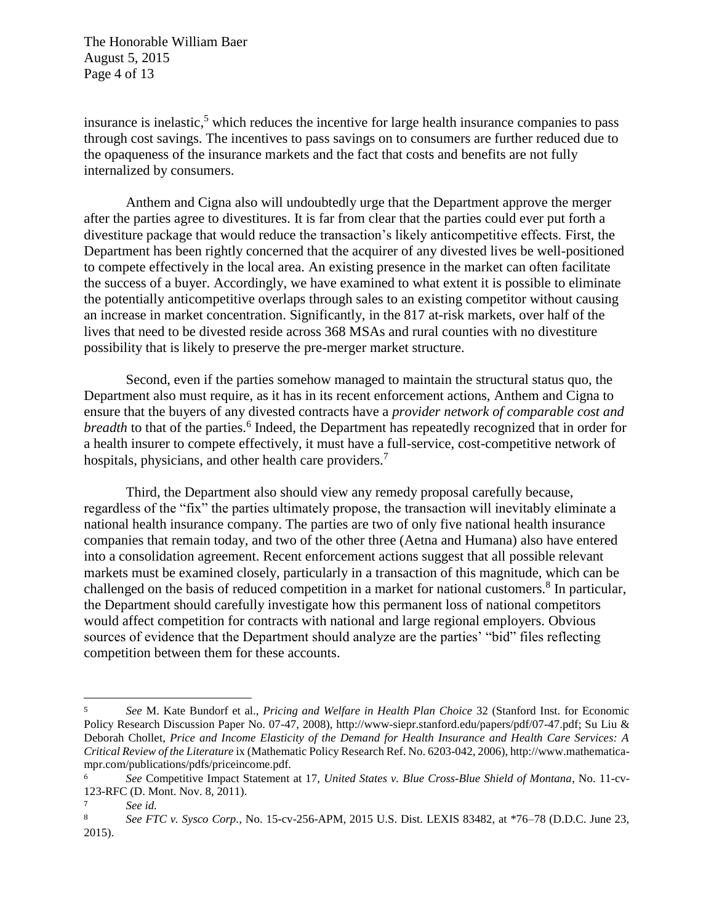The Honorable William Baer August 5, 2015 Page 4 of 13

insurance is inelastic, $5$  which reduces the incentive for large health insurance companies to pass through cost savings. The incentives to pass savings on to consumers are further reduced due to the opaqueness of the insurance markets and the fact that costs and benefits are not fully internalized by consumers.

Anthem and Cigna also will undoubtedly urge that the Department approve the merger after the parties agree to divestitures. It is far from clear that the parties could ever put forth a divestiture package that would reduce the transaction's likely anticompetitive effects. First, the Department has been rightly concerned that the acquirer of any divested lives be well-positioned to compete effectively in the local area. An existing presence in the market can often facilitate the success of a buyer. Accordingly, we have examined to what extent it is possible to eliminate the potentially anticompetitive overlaps through sales to an existing competitor without causing an increase in market concentration. Significantly, in the 817 at-risk markets, over half of the lives that need to be divested reside across 368 MSAs and rural counties with no divestiture possibility that is likely to preserve the pre-merger market structure.

Second, even if the parties somehow managed to maintain the structural status quo, the Department also must require, as it has in its recent enforcement actions, Anthem and Cigna to ensure that the buyers of any divested contracts have a *provider network of comparable cost and breadth* to that of the parties.<sup>6</sup> Indeed, the Department has repeatedly recognized that in order for a health insurer to compete effectively, it must have a full-service, cost-competitive network of hospitals, physicians, and other health care providers.<sup>7</sup>

Third, the Department also should view any remedy proposal carefully because, regardless of the "fix" the parties ultimately propose, the transaction will inevitably eliminate a national health insurance company. The parties are two of only five national health insurance companies that remain today, and two of the other three (Aetna and Humana) also have entered into a consolidation agreement. Recent enforcement actions suggest that all possible relevant markets must be examined closely, particularly in a transaction of this magnitude, which can be challenged on the basis of reduced competition in a market for national customers.<sup>8</sup> In particular, the Department should carefully investigate how this permanent loss of national competitors would affect competition for contracts with national and large regional employers. Obvious sources of evidence that the Department should analyze are the parties' "bid" files reflecting competition between them for these accounts.

<sup>5</sup> *See* M. Kate Bundorf et al., *Pricing and Welfare in Health Plan Choice* 32 (Stanford Inst. for Economic Policy Research Discussion Paper No. 07-47, 2008), http://www-siepr.stanford.edu/papers/pdf/07-47.pdf; Su Liu & Deborah Chollet, *Price and Income Elasticity of the Demand for Health Insurance and Health Care Services: A Critical Review of the Literature* ix (Mathematic Policy Research Ref. No. 6203-042, 2006), http://www.mathematicampr.com/publications/pdfs/priceincome.pdf.

<sup>6</sup> *See* Competitive Impact Statement at 17, *United States v. Blue Cross-Blue Shield of Montana*, No. 11-cv-123-RFC (D. Mont. Nov. 8, 2011).

<sup>7</sup> *See id.*

<sup>8</sup> *See FTC v. Sysco Corp.,* No. 15-cv-256-APM, 2015 U.S. Dist. LEXIS 83482, at \*76–78 (D.D.C. June 23, 2015).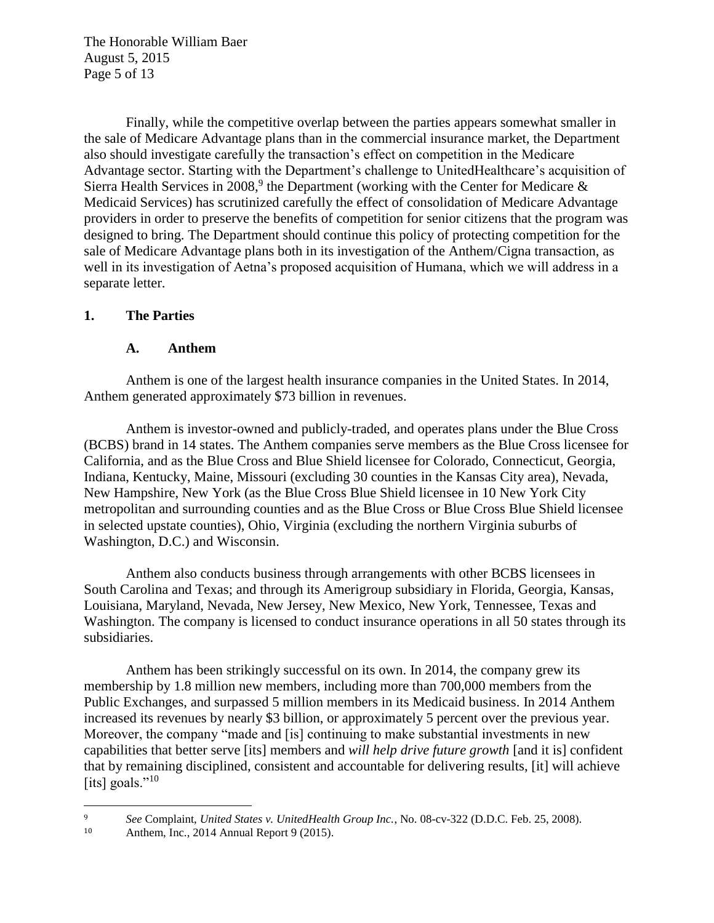The Honorable William Baer August 5, 2015 Page 5 of 13

Finally, while the competitive overlap between the parties appears somewhat smaller in the sale of Medicare Advantage plans than in the commercial insurance market, the Department also should investigate carefully the transaction's effect on competition in the Medicare Advantage sector. Starting with the Department's challenge to UnitedHealthcare's acquisition of Sierra Health Services in 2008,<sup>9</sup> the Department (working with the Center for Medicare  $\&$ Medicaid Services) has scrutinized carefully the effect of consolidation of Medicare Advantage providers in order to preserve the benefits of competition for senior citizens that the program was designed to bring. The Department should continue this policy of protecting competition for the sale of Medicare Advantage plans both in its investigation of the Anthem/Cigna transaction, as well in its investigation of Aetna's proposed acquisition of Humana, which we will address in a separate letter.

### **1. The Parties**

#### **A. Anthem**

Anthem is one of the largest health insurance companies in the United States. In 2014, Anthem generated approximately \$73 billion in revenues.

Anthem is investor-owned and publicly-traded, and operates plans under the Blue Cross (BCBS) brand in 14 states. The Anthem companies serve members as the Blue Cross licensee for California, and as the Blue Cross and Blue Shield licensee for Colorado, Connecticut, Georgia, Indiana, Kentucky, Maine, Missouri (excluding 30 counties in the Kansas City area), Nevada, New Hampshire, New York (as the Blue Cross Blue Shield licensee in 10 New York City metropolitan and surrounding counties and as the Blue Cross or Blue Cross Blue Shield licensee in selected upstate counties), Ohio, Virginia (excluding the northern Virginia suburbs of Washington, D.C.) and Wisconsin.

Anthem also conducts business through arrangements with other BCBS licensees in South Carolina and Texas; and through its Amerigroup subsidiary in Florida, Georgia, Kansas, Louisiana, Maryland, Nevada, New Jersey, New Mexico, New York, Tennessee, Texas and Washington. The company is licensed to conduct insurance operations in all 50 states through its subsidiaries.

Anthem has been strikingly successful on its own. In 2014, the company grew its membership by 1.8 million new members, including more than 700,000 members from the Public Exchanges, and surpassed 5 million members in its Medicaid business. In 2014 Anthem increased its revenues by nearly \$3 billion, or approximately 5 percent over the previous year. Moreover, the company "made and [is] continuing to make substantial investments in new capabilities that better serve [its] members and *will help drive future growth* [and it is] confident that by remaining disciplined, consistent and accountable for delivering results, [it] will achieve [its] goals." $^{10}$ 

 $\overline{\phantom{a}}$ <sup>9</sup> *See* Complaint, *United States v. UnitedHealth Group Inc.*, No. 08-cv-322 (D.D.C. Feb. 25, 2008).

<sup>10</sup> Anthem, Inc., 2014 Annual Report 9 (2015).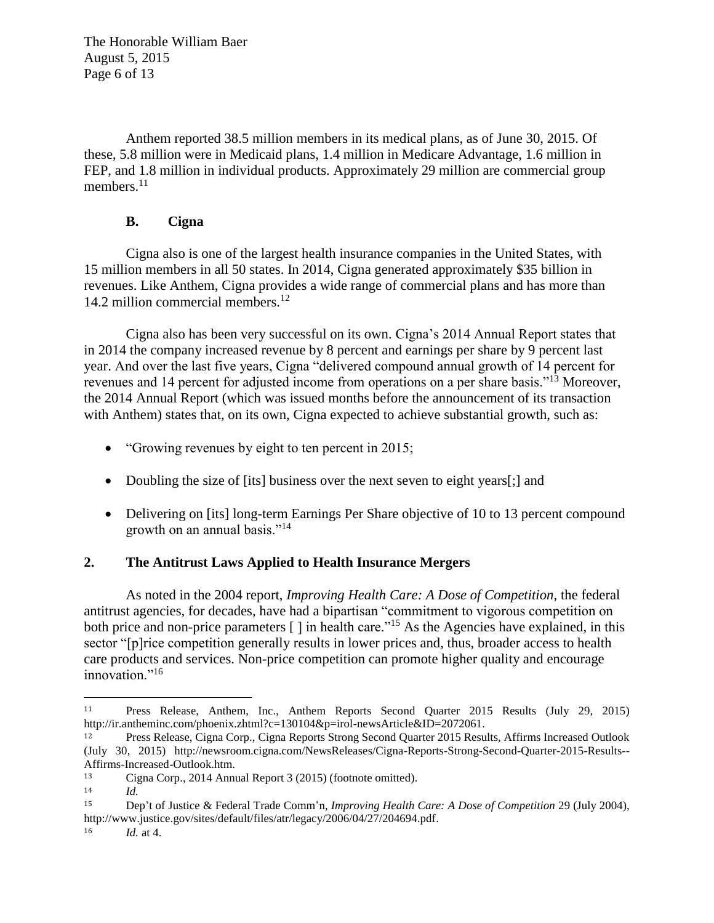The Honorable William Baer August 5, 2015 Page 6 of 13

Anthem reported 38.5 million members in its medical plans, as of June 30, 2015. Of these, 5.8 million were in Medicaid plans, 1.4 million in Medicare Advantage, 1.6 million in FEP, and 1.8 million in individual products. Approximately 29 million are commercial group members.<sup>11</sup>

# **B. Cigna**

Cigna also is one of the largest health insurance companies in the United States, with 15 million members in all 50 states. In 2014, Cigna generated approximately \$35 billion in revenues. Like Anthem, Cigna provides a wide range of commercial plans and has more than 14.2 million commercial members.<sup>12</sup>

Cigna also has been very successful on its own. Cigna's 2014 Annual Report states that in 2014 the company increased revenue by 8 percent and earnings per share by 9 percent last year. And over the last five years, Cigna "delivered compound annual growth of 14 percent for revenues and 14 percent for adjusted income from operations on a per share basis."<sup>13</sup> Moreover, the 2014 Annual Report (which was issued months before the announcement of its transaction with Anthem) states that, on its own, Cigna expected to achieve substantial growth, such as:

- "Growing revenues by eight to ten percent in 2015;
- Doubling the size of [its] business over the next seven to eight years[;] and
- Delivering on [its] long-term Earnings Per Share objective of 10 to 13 percent compound growth on an annual basis."<sup>14</sup>

# **2. The Antitrust Laws Applied to Health Insurance Mergers**

As noted in the 2004 report, *Improving Health Care: A Dose of Competition*, the federal antitrust agencies, for decades, have had a bipartisan "commitment to vigorous competition on both price and non-price parameters [ ] in health care."<sup>15</sup> As the Agencies have explained, in this sector "[p]rice competition generally results in lower prices and, thus, broader access to health care products and services. Non-price competition can promote higher quality and encourage innovation."<sup>16</sup>

l <sup>11</sup> Press Release, Anthem, Inc., Anthem Reports Second Quarter 2015 Results (July 29, 2015) http://ir.antheminc.com/phoenix.zhtml?c=130104&p=irol-newsArticle&ID=2072061.

<sup>12</sup> Press Release, Cigna Corp., Cigna Reports Strong Second Quarter 2015 Results, Affirms Increased Outlook (July 30, 2015) http://newsroom.cigna.com/NewsReleases/Cigna-Reports-Strong-Second-Quarter-2015-Results-- Affirms-Increased-Outlook.htm.

<sup>13</sup> Cigna Corp., 2014 Annual Report 3 (2015) (footnote omitted).

<sup>14</sup> *Id.*

<sup>15</sup> Dep't of Justice & Federal Trade Comm'n, *Improving Health Care: A Dose of Competition* 29 (July 2004), http://www.justice.gov/sites/default/files/atr/legacy/2006/04/27/204694.pdf.

<sup>16</sup> *Id.* at 4.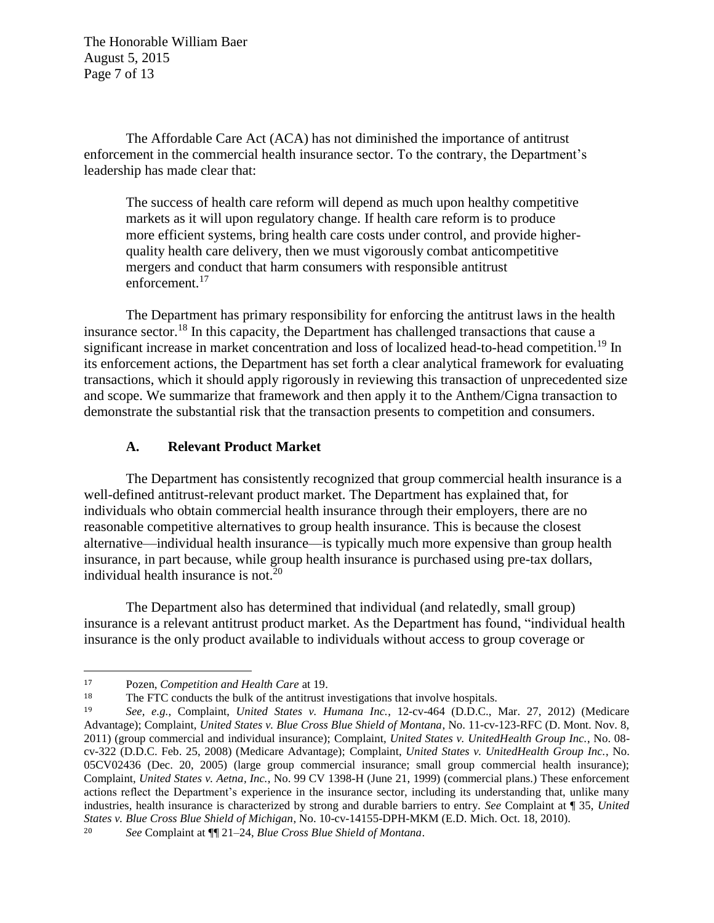The Honorable William Baer August 5, 2015 Page 7 of 13

The Affordable Care Act (ACA) has not diminished the importance of antitrust enforcement in the commercial health insurance sector. To the contrary, the Department's leadership has made clear that:

The success of health care reform will depend as much upon healthy competitive markets as it will upon regulatory change. If health care reform is to produce more efficient systems, bring health care costs under control, and provide higherquality health care delivery, then we must vigorously combat anticompetitive mergers and conduct that harm consumers with responsible antitrust enforcement.<sup>17</sup>

The Department has primary responsibility for enforcing the antitrust laws in the health insurance sector.<sup>18</sup> In this capacity, the Department has challenged transactions that cause a significant increase in market concentration and loss of localized head-to-head competition.<sup>19</sup> In its enforcement actions, the Department has set forth a clear analytical framework for evaluating transactions, which it should apply rigorously in reviewing this transaction of unprecedented size and scope. We summarize that framework and then apply it to the Anthem/Cigna transaction to demonstrate the substantial risk that the transaction presents to competition and consumers.

### **A. Relevant Product Market**

The Department has consistently recognized that group commercial health insurance is a well-defined antitrust-relevant product market. The Department has explained that, for individuals who obtain commercial health insurance through their employers, there are no reasonable competitive alternatives to group health insurance. This is because the closest alternative—individual health insurance—is typically much more expensive than group health insurance, in part because, while group health insurance is purchased using pre-tax dollars, individual health insurance is not. $^{20}$ 

The Department also has determined that individual (and relatedly, small group) insurance is a relevant antitrust product market. As the Department has found, "individual health insurance is the only product available to individuals without access to group coverage or

<sup>17</sup> Pozen, *Competition and Health Care* at 19.

<sup>&</sup>lt;sup>18</sup> The FTC conducts the bulk of the antitrust investigations that involve hospitals.<br><sup>19</sup> See e.g. Complaint *United States y. Humana Inc.* 12-cy-464 (DDC)

<sup>19</sup> *See, e.g.*, Complaint, *United States v. Humana Inc.*, 12-cv-464 (D.D.C., Mar. 27, 2012) (Medicare Advantage); Complaint, *United States v. Blue Cross Blue Shield of Montana*, No. 11-cv-123-RFC (D. Mont. Nov. 8, 2011) (group commercial and individual insurance); Complaint, *United States v. UnitedHealth Group Inc.*, No. 08 cv-322 (D.D.C. Feb. 25, 2008) (Medicare Advantage); Complaint, *United States v. UnitedHealth Group Inc.*, No. 05CV02436 (Dec. 20, 2005) (large group commercial insurance; small group commercial health insurance); Complaint, *United States v. Aetna, Inc.*, No. 99 CV 1398-H (June 21, 1999) (commercial plans.) These enforcement actions reflect the Department's experience in the insurance sector, including its understanding that, unlike many industries, health insurance is characterized by strong and durable barriers to entry. *See* Complaint at ¶ 35, *United States v. Blue Cross Blue Shield of Michigan*, No. 10-cv-14155-DPH-MKM (E.D. Mich. Oct. 18, 2010).

<sup>20</sup> *See* Complaint at ¶¶ 21–24, *Blue Cross Blue Shield of Montana*.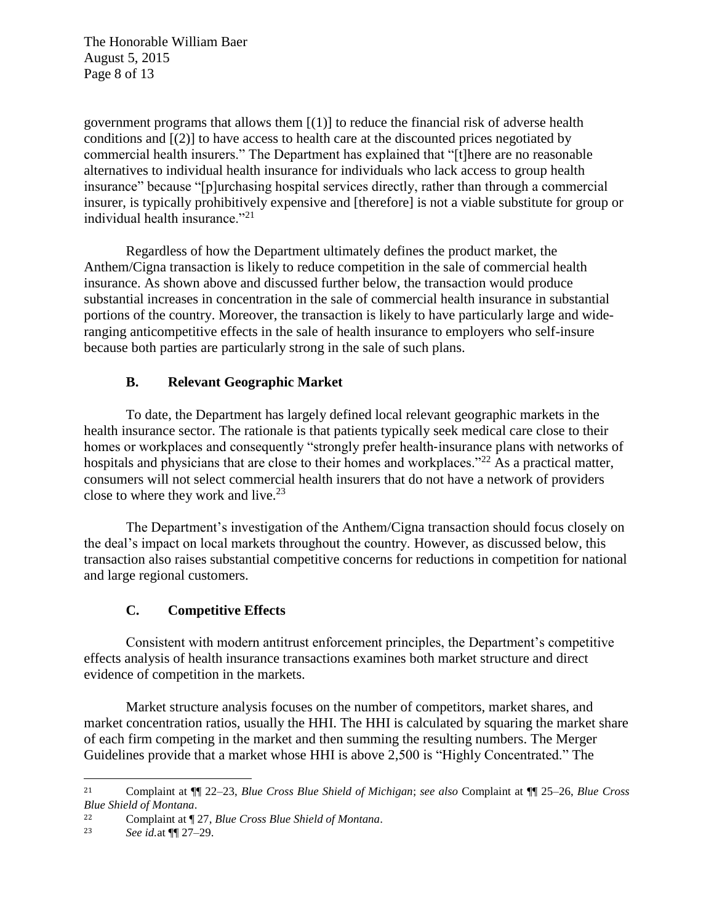The Honorable William Baer August 5, 2015 Page 8 of 13

government programs that allows them  $[(1)]$  to reduce the financial risk of adverse health conditions and [(2)] to have access to health care at the discounted prices negotiated by commercial health insurers." The Department has explained that "[t]here are no reasonable alternatives to individual health insurance for individuals who lack access to group health insurance" because "[p]urchasing hospital services directly, rather than through a commercial insurer, is typically prohibitively expensive and [therefore] is not a viable substitute for group or individual health insurance."<sup>21</sup>

Regardless of how the Department ultimately defines the product market, the Anthem/Cigna transaction is likely to reduce competition in the sale of commercial health insurance. As shown above and discussed further below, the transaction would produce substantial increases in concentration in the sale of commercial health insurance in substantial portions of the country. Moreover, the transaction is likely to have particularly large and wideranging anticompetitive effects in the sale of health insurance to employers who self-insure because both parties are particularly strong in the sale of such plans.

# **B. Relevant Geographic Market**

To date, the Department has largely defined local relevant geographic markets in the health insurance sector. The rationale is that patients typically seek medical care close to their homes or workplaces and consequently "strongly prefer health-insurance plans with networks of hospitals and physicians that are close to their homes and workplaces."<sup>22</sup> As a practical matter, consumers will not select commercial health insurers that do not have a network of providers close to where they work and live. $2<sup>3</sup>$ 

The Department's investigation of the Anthem/Cigna transaction should focus closely on the deal's impact on local markets throughout the country. However, as discussed below, this transaction also raises substantial competitive concerns for reductions in competition for national and large regional customers.

# **C. Competitive Effects**

Consistent with modern antitrust enforcement principles, the Department's competitive effects analysis of health insurance transactions examines both market structure and direct evidence of competition in the markets.

Market structure analysis focuses on the number of competitors, market shares, and market concentration ratios, usually the HHI. The HHI is calculated by squaring the market share of each firm competing in the market and then summing the resulting numbers. The Merger Guidelines provide that a market whose HHI is above 2,500 is "Highly Concentrated." The

l

<sup>21</sup> Complaint at ¶¶ 22–23, *Blue Cross Blue Shield of Michigan*; *see also* Complaint at ¶¶ 25–26, *Blue Cross Blue Shield of Montana*.

<sup>22</sup> Complaint at ¶ 27, *Blue Cross Blue Shield of Montana*.

<sup>23</sup> *See id.*at ¶¶ 27–29.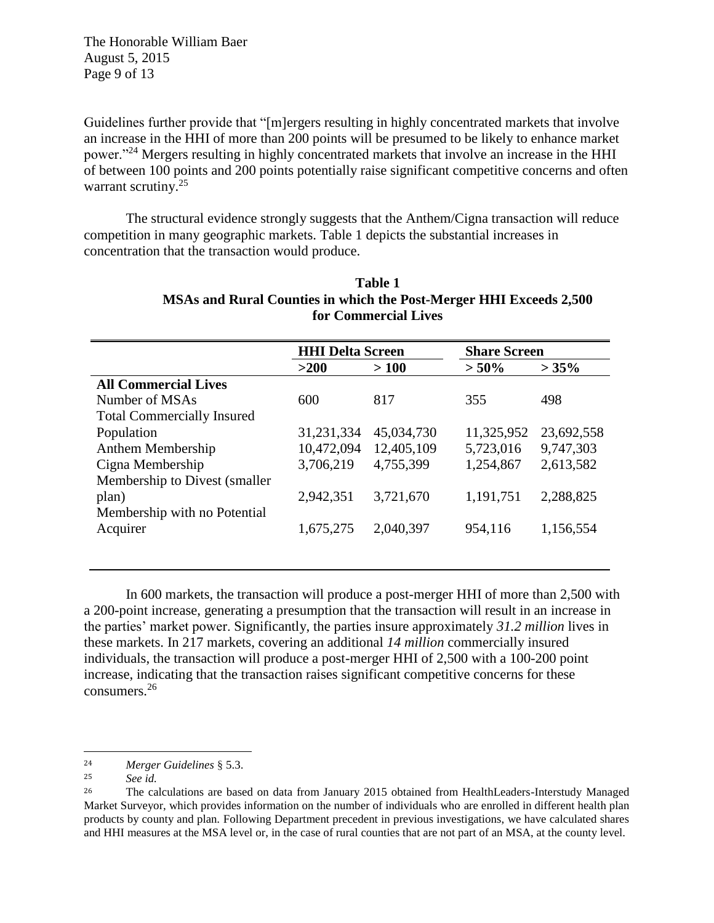The Honorable William Baer August 5, 2015 Page 9 of 13

Guidelines further provide that "[m]ergers resulting in highly concentrated markets that involve an increase in the HHI of more than 200 points will be presumed to be likely to enhance market power."<sup>24</sup> Mergers resulting in highly concentrated markets that involve an increase in the HHI of between 100 points and 200 points potentially raise significant competitive concerns and often warrant scrutiny.<sup>25</sup>

The structural evidence strongly suggests that the Anthem/Cigna transaction will reduce competition in many geographic markets. Table 1 depicts the substantial increases in concentration that the transaction would produce.

|                                   | <b>HHI Delta Screen</b> |            | <b>Share Screen</b> |            |
|-----------------------------------|-------------------------|------------|---------------------|------------|
|                                   | >200                    | >100       | $> 50\%$            | $>35\%$    |
| <b>All Commercial Lives</b>       |                         |            |                     |            |
| Number of MSAs                    | 600                     | 817        | 355                 | 498        |
| <b>Total Commercially Insured</b> |                         |            |                     |            |
| Population                        | 31,231,334              | 45,034,730 | 11,325,952          | 23,692,558 |
| Anthem Membership                 | 10,472,094              | 12,405,109 | 5,723,016           | 9,747,303  |
| Cigna Membership                  | 3,706,219               | 4,755,399  | 1,254,867           | 2,613,582  |
| Membership to Divest (smaller)    |                         |            |                     |            |
| plan)                             | 2,942,351               | 3,721,670  | 1,191,751           | 2,288,825  |
| Membership with no Potential      |                         |            |                     |            |
| Acquirer                          | 1,675,275               | 2,040,397  | 954,116             | 1,156,554  |
|                                   |                         |            |                     |            |

| Table 1                                                            |
|--------------------------------------------------------------------|
| MSAs and Rural Counties in which the Post-Merger HHI Exceeds 2,500 |
| for Commercial Lives                                               |

In 600 markets, the transaction will produce a post-merger HHI of more than 2,500 with a 200-point increase, generating a presumption that the transaction will result in an increase in the parties' market power. Significantly, the parties insure approximately *31.2 million* lives in these markets. In 217 markets, covering an additional *14 million* commercially insured individuals, the transaction will produce a post-merger HHI of 2,500 with a 100-200 point increase, indicating that the transaction raises significant competitive concerns for these consumers.<sup>26</sup>

<sup>24</sup> *Merger Guidelines* § 5.3.

<sup>25</sup> *See id.*

<sup>&</sup>lt;sup>26</sup> The calculations are based on data from January 2015 obtained from HealthLeaders-Interstudy Managed Market Surveyor, which provides information on the number of individuals who are enrolled in different health plan products by county and plan. Following Department precedent in previous investigations, we have calculated shares and HHI measures at the MSA level or, in the case of rural counties that are not part of an MSA, at the county level.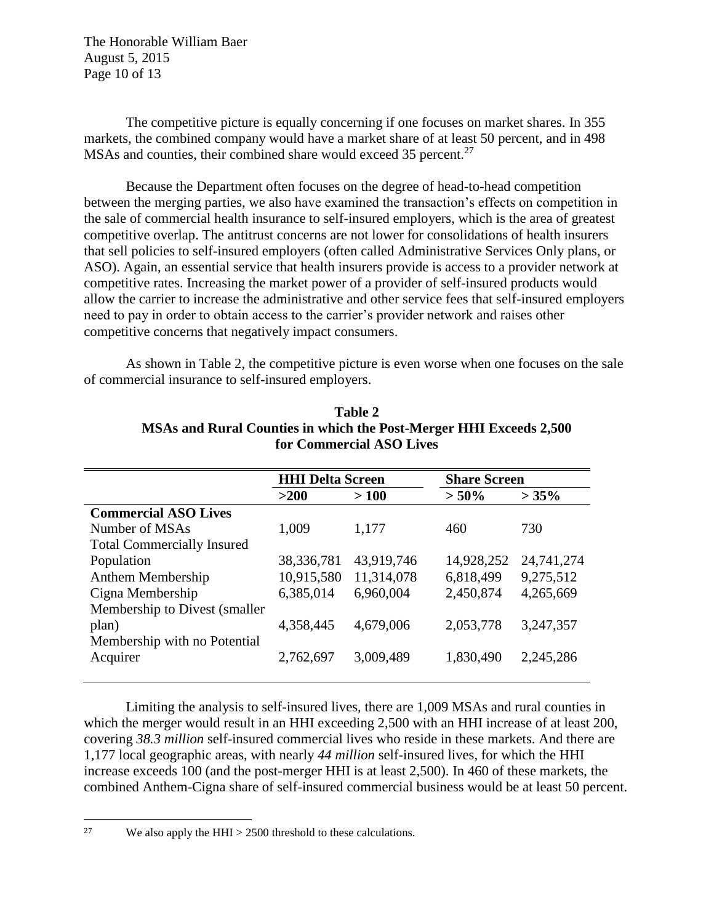The Honorable William Baer August 5, 2015 Page 10 of 13

The competitive picture is equally concerning if one focuses on market shares. In 355 markets, the combined company would have a market share of at least 50 percent, and in 498 MSAs and counties, their combined share would exceed 35 percent.<sup>27</sup>

Because the Department often focuses on the degree of head-to-head competition between the merging parties, we also have examined the transaction's effects on competition in the sale of commercial health insurance to self-insured employers, which is the area of greatest competitive overlap. The antitrust concerns are not lower for consolidations of health insurers that sell policies to self-insured employers (often called Administrative Services Only plans, or ASO). Again, an essential service that health insurers provide is access to a provider network at competitive rates. Increasing the market power of a provider of self-insured products would allow the carrier to increase the administrative and other service fees that self-insured employers need to pay in order to obtain access to the carrier's provider network and raises other competitive concerns that negatively impact consumers.

As shown in Table 2, the competitive picture is even worse when one focuses on the sale of commercial insurance to self-insured employers.

|                                   | <b>HHI Delta Screen</b> |            | <b>Share Screen</b> |            |
|-----------------------------------|-------------------------|------------|---------------------|------------|
|                                   | >200                    | >100       | $> 50\%$            | >35%       |
| <b>Commercial ASO Lives</b>       |                         |            |                     |            |
| Number of MSAs                    | 1,009                   | 1,177      | 460                 | 730        |
| <b>Total Commercially Insured</b> |                         |            |                     |            |
| Population                        | 38, 336, 781            | 43,919,746 | 14,928,252          | 24,741,274 |
| Anthem Membership                 | 10,915,580              | 11,314,078 | 6,818,499           | 9,275,512  |
| Cigna Membership                  | 6,385,014               | 6,960,004  | 2,450,874           | 4,265,669  |
| Membership to Divest (smaller)    |                         |            |                     |            |
| plan)                             | 4,358,445               | 4,679,006  | 2,053,778           | 3,247,357  |
| Membership with no Potential      |                         |            |                     |            |
| Acquirer                          | 2,762,697               | 3,009,489  | 1,830,490           | 2,245,286  |
|                                   |                         |            |                     |            |

**Table 2 MSAs and Rural Counties in which the Post-Merger HHI Exceeds 2,500 for Commercial ASO Lives**

Limiting the analysis to self-insured lives, there are 1,009 MSAs and rural counties in which the merger would result in an HHI exceeding 2,500 with an HHI increase of at least 200, covering *38.3 million* self-insured commercial lives who reside in these markets. And there are 1,177 local geographic areas, with nearly *44 million* self-insured lives, for which the HHI increase exceeds 100 (and the post-merger HHI is at least 2,500). In 460 of these markets, the combined Anthem-Cigna share of self-insured commercial business would be at least 50 percent.

l

<sup>&</sup>lt;sup>27</sup> We also apply the HHI  $>$  2500 threshold to these calculations.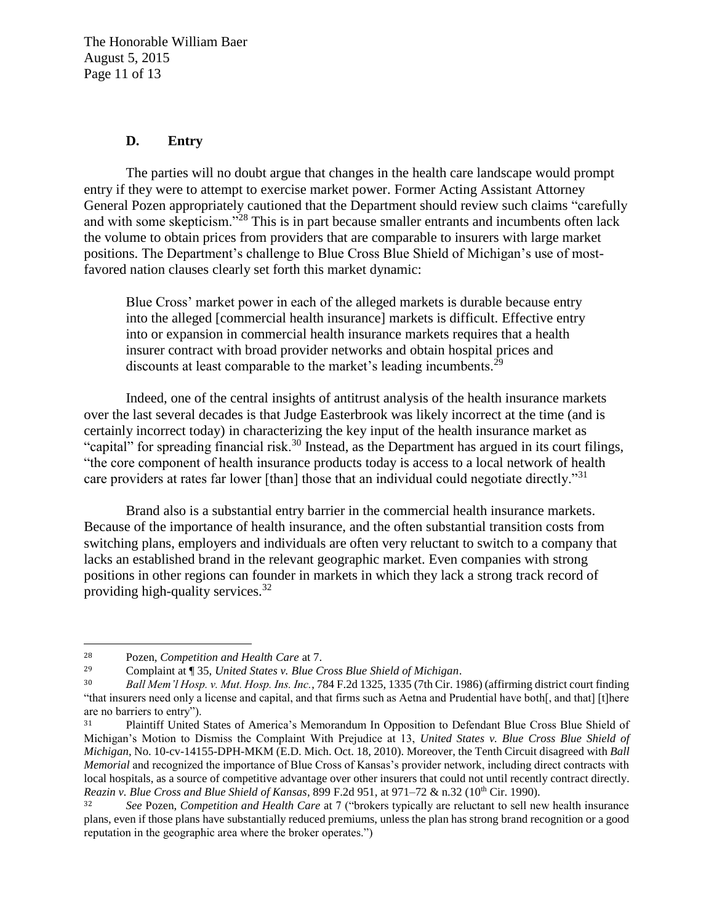The Honorable William Baer August 5, 2015 Page 11 of 13

### **D. Entry**

The parties will no doubt argue that changes in the health care landscape would prompt entry if they were to attempt to exercise market power. Former Acting Assistant Attorney General Pozen appropriately cautioned that the Department should review such claims "carefully and with some skepticism."<sup>28</sup> This is in part because smaller entrants and incumbents often lack the volume to obtain prices from providers that are comparable to insurers with large market positions. The Department's challenge to Blue Cross Blue Shield of Michigan's use of mostfavored nation clauses clearly set forth this market dynamic:

Blue Cross' market power in each of the alleged markets is durable because entry into the alleged [commercial health insurance] markets is difficult. Effective entry into or expansion in commercial health insurance markets requires that a health insurer contract with broad provider networks and obtain hospital prices and discounts at least comparable to the market's leading incumbents.<sup>29</sup>

Indeed, one of the central insights of antitrust analysis of the health insurance markets over the last several decades is that Judge Easterbrook was likely incorrect at the time (and is certainly incorrect today) in characterizing the key input of the health insurance market as "capital" for spreading financial risk.<sup>30</sup> Instead, as the Department has argued in its court filings, "the core component of health insurance products today is access to a local network of health care providers at rates far lower [than] those that an individual could negotiate directly."<sup>31</sup>

Brand also is a substantial entry barrier in the commercial health insurance markets. Because of the importance of health insurance, and the often substantial transition costs from switching plans, employers and individuals are often very reluctant to switch to a company that lacks an established brand in the relevant geographic market. Even companies with strong positions in other regions can founder in markets in which they lack a strong track record of providing high-quality services. $32$ 

l

<sup>28</sup> Pozen, *Competition and Health Care* at 7.

<sup>29</sup> Complaint at ¶ 35, *United States v. Blue Cross Blue Shield of Michigan*.

<sup>30</sup> *Ball Mem'l Hosp. v. Mut. Hosp. Ins. Inc.*, 784 F.2d 1325, 1335 (7th Cir. 1986) (affirming district court finding "that insurers need only a license and capital, and that firms such as Aetna and Prudential have both[, and that] [t]here are no barriers to entry").

<sup>&</sup>lt;sup>31</sup> Plaintiff United States of America's Memorandum In Opposition to Defendant Blue Cross Blue Shield of Michigan's Motion to Dismiss the Complaint With Prejudice at 13, *United States v. Blue Cross Blue Shield of Michigan*, No. 10-cv-14155-DPH-MKM (E.D. Mich. Oct. 18, 2010). Moreover, the Tenth Circuit disagreed with *Ball Memorial* and recognized the importance of Blue Cross of Kansas's provider network, including direct contracts with local hospitals, as a source of competitive advantage over other insurers that could not until recently contract directly. *Reazin v. Blue Cross and Blue Shield of Kansas, 899 F.2d 951, at 971–72 & n.32 (10<sup>th</sup> Cir. 1990).* 

<sup>32</sup> *See* Pozen, *Competition and Health Care* at 7 ("brokers typically are reluctant to sell new health insurance plans, even if those plans have substantially reduced premiums, unless the plan has strong brand recognition or a good reputation in the geographic area where the broker operates.")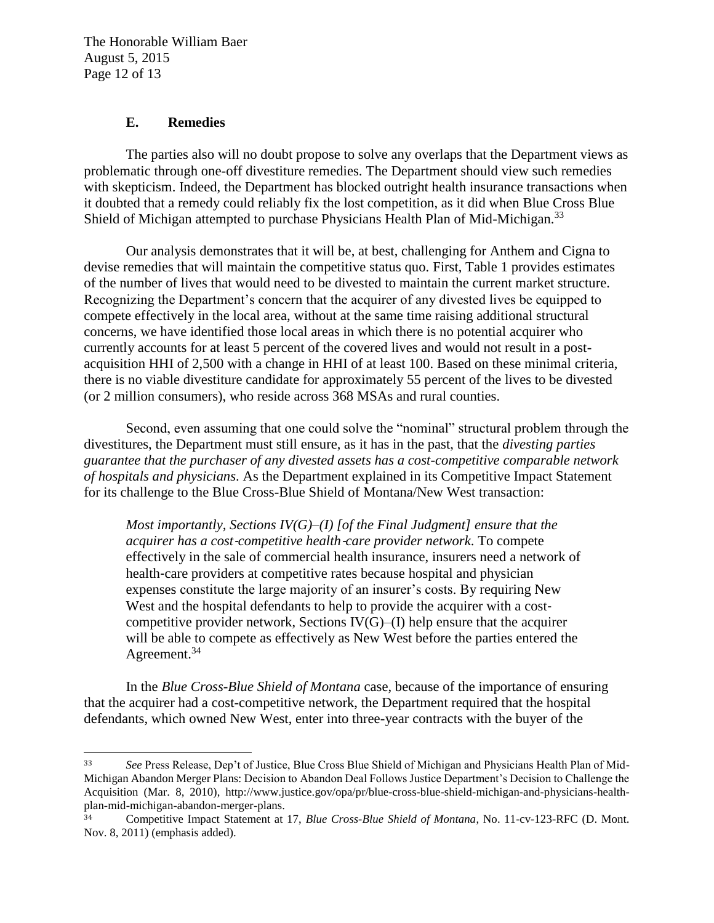The Honorable William Baer August 5, 2015 Page 12 of 13

#### **E. Remedies**

 $\overline{\phantom{a}}$ 

The parties also will no doubt propose to solve any overlaps that the Department views as problematic through one-off divestiture remedies. The Department should view such remedies with skepticism. Indeed, the Department has blocked outright health insurance transactions when it doubted that a remedy could reliably fix the lost competition, as it did when Blue Cross Blue Shield of Michigan attempted to purchase Physicians Health Plan of Mid-Michigan.<sup>33</sup>

Our analysis demonstrates that it will be, at best, challenging for Anthem and Cigna to devise remedies that will maintain the competitive status quo. First, Table 1 provides estimates of the number of lives that would need to be divested to maintain the current market structure. Recognizing the Department's concern that the acquirer of any divested lives be equipped to compete effectively in the local area, without at the same time raising additional structural concerns, we have identified those local areas in which there is no potential acquirer who currently accounts for at least 5 percent of the covered lives and would not result in a postacquisition HHI of 2,500 with a change in HHI of at least 100. Based on these minimal criteria, there is no viable divestiture candidate for approximately 55 percent of the lives to be divested (or 2 million consumers), who reside across 368 MSAs and rural counties.

Second, even assuming that one could solve the "nominal" structural problem through the divestitures, the Department must still ensure, as it has in the past, that the *divesting parties guarantee that the purchaser of any divested assets has a cost-competitive comparable network of hospitals and physicians*. As the Department explained in its Competitive Impact Statement for its challenge to the Blue Cross-Blue Shield of Montana/New West transaction:

*Most importantly, Sections IV(G)–(I) [of the Final Judgment] ensure that the acquirer has a cost*‐*competitive health*‐*care provider network*. To compete effectively in the sale of commercial health insurance, insurers need a network of health-care providers at competitive rates because hospital and physician expenses constitute the large majority of an insurer's costs. By requiring New West and the hospital defendants to help to provide the acquirer with a costcompetitive provider network, Sections  $IV(G)$ –(I) help ensure that the acquirer will be able to compete as effectively as New West before the parties entered the Agreement.<sup>34</sup>

In the *Blue Cross-Blue Shield of Montana* case, because of the importance of ensuring that the acquirer had a cost-competitive network, the Department required that the hospital defendants, which owned New West, enter into three-year contracts with the buyer of the

<sup>33</sup> *See* Press Release, Dep't of Justice, Blue Cross Blue Shield of Michigan and Physicians Health Plan of Mid-Michigan Abandon Merger Plans: Decision to Abandon Deal Follows Justice Department's Decision to Challenge the Acquisition (Mar. 8, 2010), http://www.justice.gov/opa/pr/blue-cross-blue-shield-michigan-and-physicians-healthplan-mid-michigan-abandon-merger-plans.

<sup>34</sup> Competitive Impact Statement at 17, *Blue Cross-Blue Shield of Montana*, No. 11-cv-123-RFC (D. Mont. Nov. 8, 2011) (emphasis added).